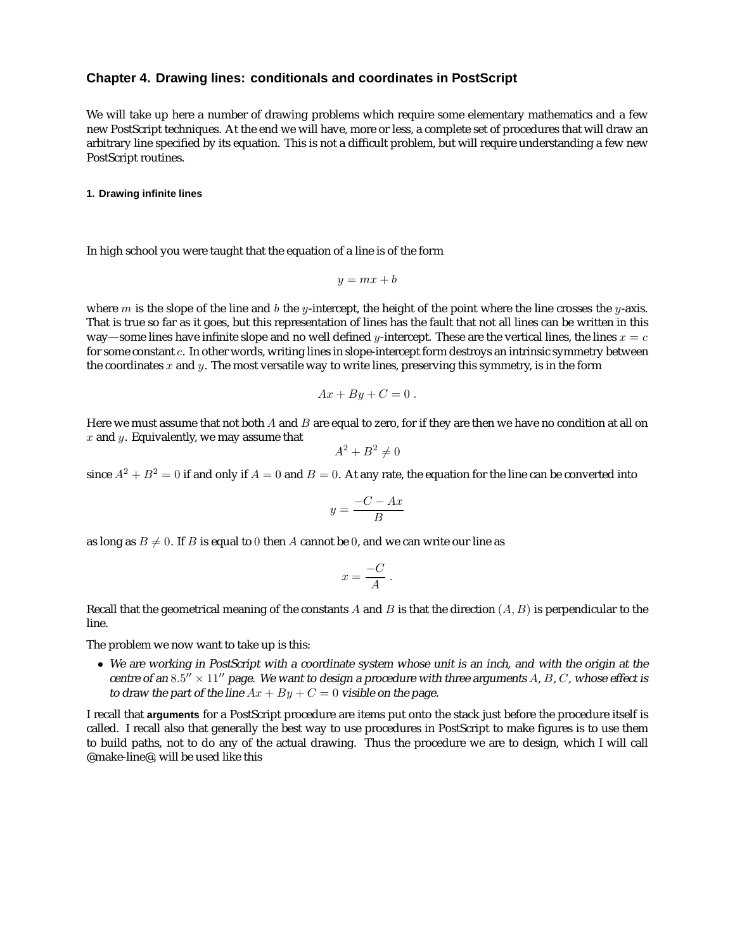# **Chapter 4. Drawing lines: conditionals and coordinates in PostScript**

We will take up here a number of drawing problems which require some elementary mathematics and a few new PostScript techniques. At the end we will have, more or less, a complete set of procedures that will draw an arbitrary line specified by its equation. This is not a difficult problem, but will require understanding a few new PostScript routines.

# **1. Drawing infinite lines**

In high school you were taught that the equation of a line is of the form

$$
y = mx + b
$$

where m is the slope of the line and b the y-intercept, the height of the point where the line crosses the y-axis. That is true so far as it goes, but this representation of lines has the fault that not all lines can be written in this way—some lines have infinite slope and no well defined y-intercept. These are the vertical lines, the lines  $x = c$ for some constant c. In other words, writing lines in slope-intercept form destroys an intrinsic symmetry between the coordinates  $x$  and  $y$ . The most versatile way to write lines, preserving this symmetry, is in the form

$$
Ax + By + C = 0.
$$

Here we must assume that not both  $A$  and  $B$  are equal to zero, for if they are then we have no condition at all on  $x$  and  $y$ . Equivalently, we may assume that

$$
A^2 + B^2 \neq 0
$$

since  $A^2 + B^2 = 0$  if and only if  $A = 0$  and  $B = 0$ . At any rate, the equation for the line can be converted into

$$
y = \frac{-C - Ax}{B}
$$

as long as  $B \neq 0$ . If B is equal to 0 then A cannot be 0, and we can write our line as

$$
x = \frac{-C}{A} \; .
$$

Recall that the geometrical meaning of the constants A and B is that the direction  $(A, B)$  is perpendicular to the line.

The problem we now want to take up is this:

• We are working in PostScript with <sup>a</sup> coordinate system whose unit is an inch, and with the origin at the centre of an 8.5"  $\times$  11" page. We want to design a procedure with three arguments A, B, C, whose effect is to draw the part of the line  $Ax + By + C = 0$  visible on the page.

I recall that **arguments** for a PostScript procedure are items put onto the stack just before the procedure itself is called. I recall also that generally the best way to use procedures in PostScript to make figures is to use them to build paths, not to do any of the actual drawing. Thus the procedure we are to design, which I will call @make-line@, will be used like this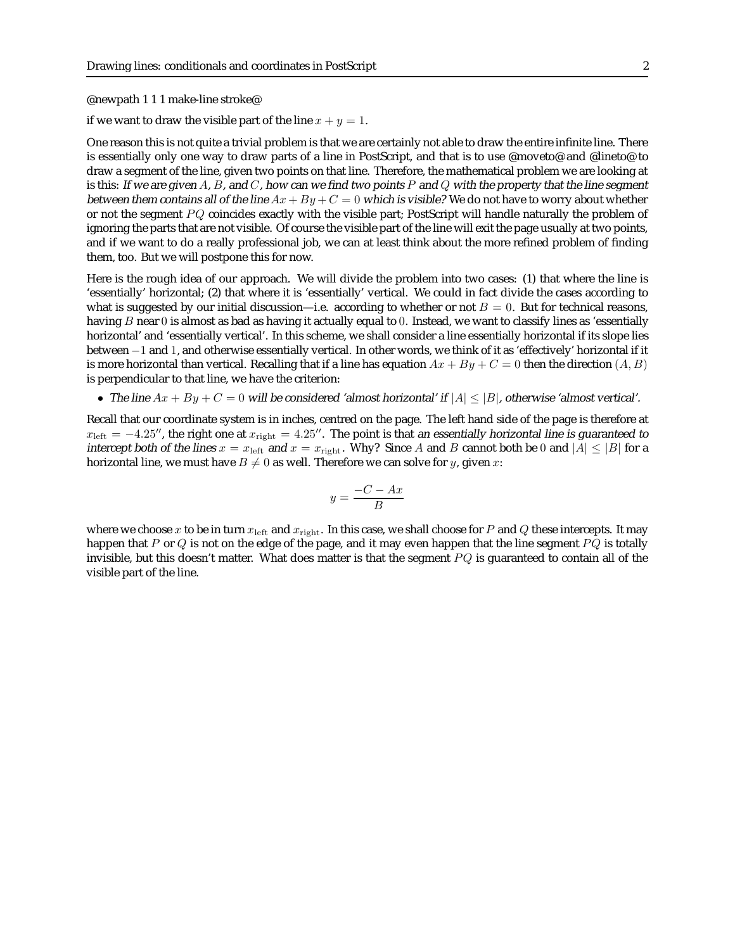@newpath111 make-line stroke@

if we want to draw the visible part of the line  $x + y = 1$ .

One reason this is not quite a trivial problem is that we are certainly not able to draw the entire infinite line. There is essentially only one way to draw parts of a line in PostScript, and that is to use @moveto@ and @lineto@ to draw a segment of the line, given two points on that line. Therefore, the mathematical problem we are looking at is this: If we are given A, B, and C, how can we find two points P and Q with the property that the line segment between them contains all of the line  $Ax + By + C = 0$  which is visible? We do not have to worry about whether or not the segment  $PQ$  coincides exactly with the visible part; PostScript will handle naturally the problem of ignoring the parts that are not visible. Of course the visible part of the line will exit the page usually at two points, and if we want to do a really professional job, we can at least think about the more refined problem of finding them, too. But we will postpone this for now.

Here is the rough idea of our approach. We will divide the problem into two cases: (1) that where the line is 'essentially' horizontal; (2) that where it is 'essentially' vertical. We could in fact divide the cases according to what is suggested by our initial discussion—i.e. according to whether or not  $B = 0$ . But for technical reasons, having  $B$  near  $0$  is almost as bad as having it actually equal to  $0$ . Instead, we want to classify lines as 'essentially horizontal' and 'essentially vertical'. In this scheme, we shall consider a line essentially horizontal if its slope lies between −1 and 1, and otherwise essentially vertical. In other words, we think of it as 'effectively' horizontal if it is more horizontal than vertical. Recalling that if a line has equation  $Ax + By + C = 0$  then the direction  $(A, B)$ is perpendicular to that line, we have the criterion:

• The line  $Ax + By + C = 0$  will be considered 'almost horizontal' if  $|A| \leq |B|$ , otherwise 'almost vertical'.

Recall that our coordinate system is in inches, centred on the page. The left hand side of the page is therefore at  $x_{\text{left}} = -4.25''$ , the right one at  $x_{\text{right}} = 4.25''$ . The point is that an essentially horizontal line is guaranteed to interest both of the lines  $x_{\text{right}} = 25''$ . intercept both of the lines  $x = x_{\text{left}}$  and  $x = x_{\text{right}}$ . Why? Since A and B cannot both be 0 and  $|A| \leq |B|$  for a horizontal line, we must have  $B \neq 0$  as well. Therefore we can solve for y, given x:

$$
y = \frac{-C - Ax}{B}
$$

where we choose x to be in turn  $x_{\text{left}}$  and  $x_{\text{right}}$ . In this case, we shall choose for P and Q these intercepts. It may happen that P or Q is not on the edge of the page, and it may even happen that the line segment  $PQ$  is totally invisible, but this doesn't matter. What does matter is that the segment  $PQ$  is guaranteed to contain all of the visible part of the line.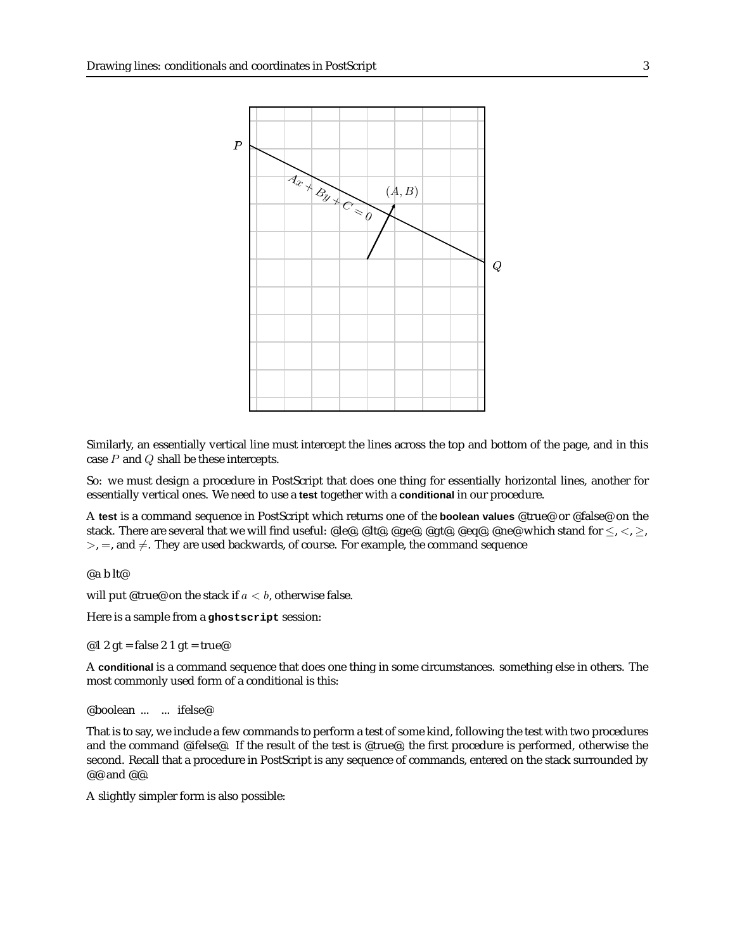

Similarly, an essentially vertical line must intercept the lines across the top and bottom of the page, and in this case  $P$  and  $Q$  shall be these intercepts.

So: we must design a procedure in PostScript that does one thing for essentially horizontal lines, another for essentially vertical ones. We need to use a **test** together with a **conditional** in our procedure.

A **test** is a command sequence in PostScript which returns one of the **boolean values** @true@ or @false@ on the stack. There are several that we will find useful: @le@, @lt@, @ge@, @gt@, @eq@, @ne@ which stand for  $\leq, \leq, \geq,$  $>$ , =, and  $\neq$ . They are used backwards, of course. For example, the command sequence

@a b lt@

will put @true@ on the stack if  $a < b$ , otherwise false.

Here is a sample from a **ghostscript** session:

@1 2 gt = false 2 1 gt = true@

A **conditional** is a command sequence that does one thing in some circumstances. something else in others. The most commonly used form of a conditional is this:

@boolean ... ... ifelse@

That is to say, we include a few commands to perform a test of some kind, following the test with two procedures and the command @ifelse@. If the result of the test is @true@, the first procedure is performed, otherwise the second. Recall that a procedure in PostScript is any sequence of commands, entered on the stack surrounded by @@ and @@.

A slightly simpler form is also possible: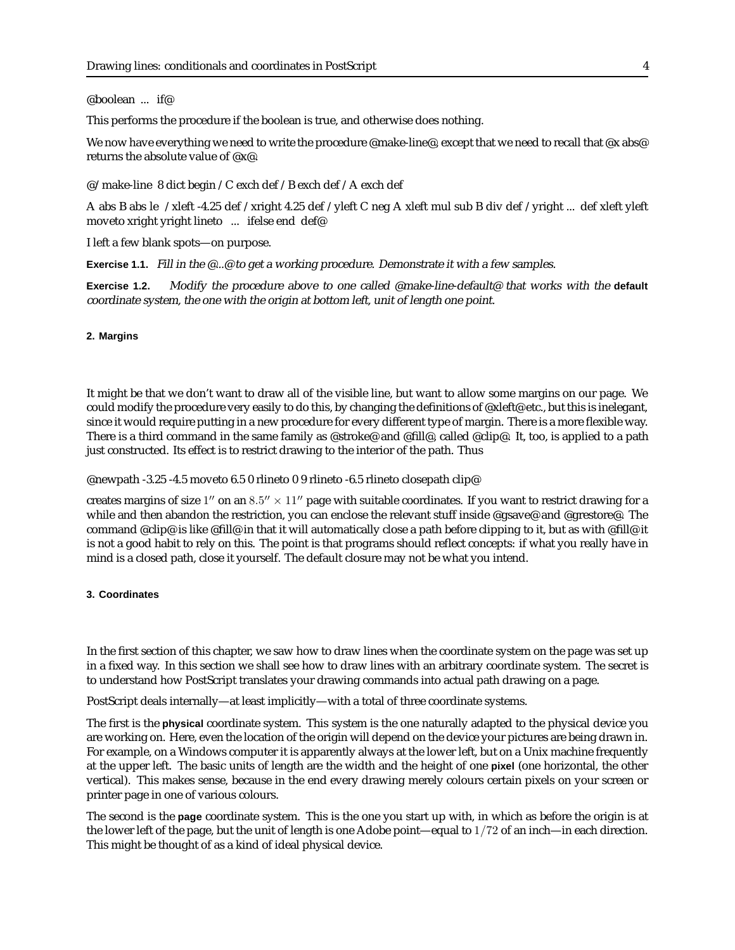#### @boolean ... if@

This performs the procedure if the boolean is true, and otherwise does nothing.

We now have everything we need to write the procedure @make-line@, except that we need to recall that @x abs@ returns the absolute value of @x@.

@/make-line 8 dict begin /C exch def /B exch def /A exch def

A abs B abs le /xleft -4.25 def /xright 4.25 def /yleft C neg A xleft mul sub B div def /yright ... def xleft yleft moveto xright yright lineto ... ifelse end def@

I left a few blank spots—on purpose.

Exercise 1.1. Fill in the @...@ to get a working procedure. Demonstrate it with a few samples.

**Exercise 1.2.** Modify the procedure above to one called @make-line-default@ that works with the **default** coordinate system, the one with the origin at bottom left, unit of length one point.

# **2. Margins**

It might be that we don't want to draw all of the visible line, but want to allow some margins on our page. We could modify the procedure very easily to do this, by changing the definitions of @xleft@ etc., but this is inelegant, since it would require putting in a new procedure for every different type of margin. There is a more flexible way. There is a third command in the same family as @stroke@ and @fill@, called @clip@. It, too, is applied to a path just constructed. Its effect is to restrict drawing to the interior of the path. Thus

@newpath -3.25 -4.5 moveto 6.5 0 rlineto 0 9 rlineto -6.5 rlineto closepath clip@

creates margins of size  $1''$  on an  $8.5'' \times 11''$  page with suitable coordinates. If you want to restrict drawing for a while and then abandon the restriction, you can enclose the relevant stuff inside @gsave@ and @grestore@. The command @clip@ is like @fill@ in that it will automatically close a path before clipping to it, but as with @fill@ it is not a good habit to rely on this. The point is that programs should reflect concepts: if what you really have in mind is a closed path, close it yourself. The default closure may not be what you intend.

### **3. Coordinates**

In the first section of this chapter, we saw how to draw lines when the coordinate system on the page was set up in a fixed way. In this section we shall see how to draw lines with an arbitrary coordinate system. The secret is to understand how PostScript translates your drawing commands into actual path drawing on a page.

PostScript deals internally—at least implicitly—with a total of three coordinate systems.

The first is the **physical** coordinate system. This system is the one naturally adapted to the physical device you are working on. Here, even the location of the origin will depend on the device your pictures are being drawn in. For example, on a Windows computer it is apparently always at the lower left, but on a Unix machine frequently at the upper left. The basic units of length are the width and the height of one **pixel** (one horizontal, the other vertical). This makes sense, because in the end every drawing merely colours certain pixels on your screen or printer page in one of various colours.

The second is the **page** coordinate system. This is the one you start up with, in which as before the origin is at the lower left of the page, but the unit of length is one Adobe point—equal to 1/72 of an inch—in each direction. This might be thought of as a kind of ideal physical device.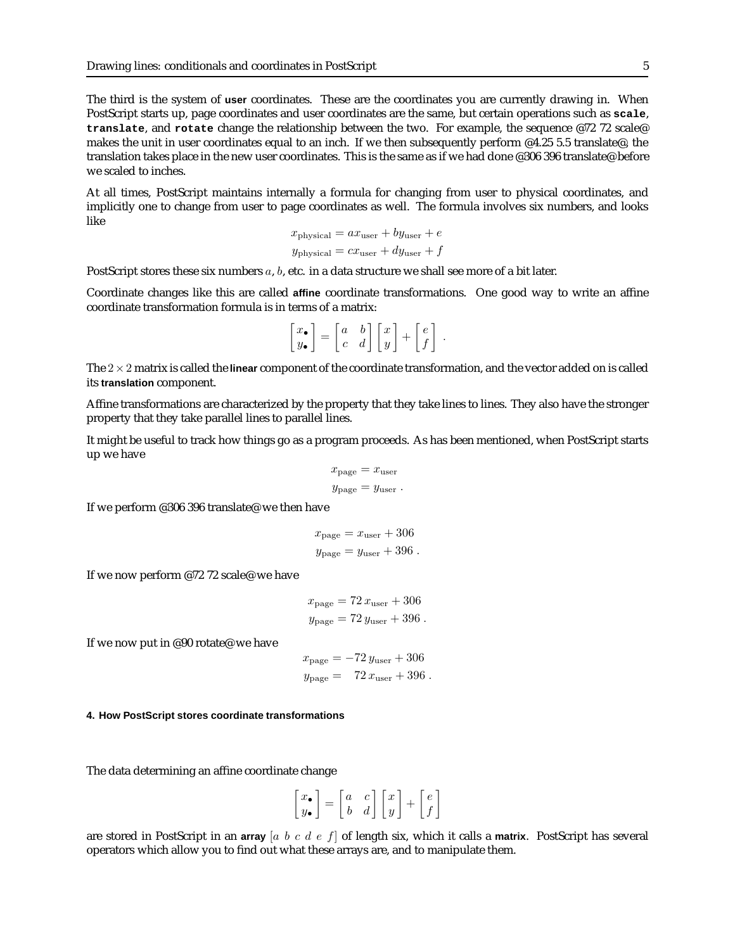The third is the system of **user** coordinates. These are the coordinates you are currently drawing in. When PostScript starts up, page coordinates and user coordinates are the same, but certain operations such as **scale**, **translate**, and **rotate** change the relationship between the two. For example, the sequence @72 72 scale@ makes the unit in user coordinates equal to an inch. If we then subsequently perform @4.25 5.5 translate@, the translation takes place in the new user coordinates. This is the same as if we had done @306 396 translate@ before we scaled to inches.

At all times, PostScript maintains internally a formula for changing from user to physical coordinates, and implicitly one to change from user to page coordinates as well. The formula involves six numbers, and looks like

$$
x_{\text{physical}} = ax_{\text{user}} + by_{\text{user}} + e
$$

$$
y_{\text{physical}} = cx_{\text{user}} + dy_{\text{user}} + f
$$

PostScript stores these six numbers a, b, etc. in a data structure we shall see more of a bit later.

Coordinate changes like this are called **affine** coordinate transformations. One good way to write an affine coordinate transformation formula is in terms of a matrix:

$$
\begin{bmatrix} x_{\bullet} \\ y_{\bullet} \end{bmatrix} = \begin{bmatrix} a & b \\ c & d \end{bmatrix} \begin{bmatrix} x \\ y \end{bmatrix} + \begin{bmatrix} e \\ f \end{bmatrix}.
$$

The 2×2 matrix is called the **linear** component of the coordinate transformation, and the vector added on is called its **translation** component.

Affine transformations are characterized by the property that they take lines to lines. They also have the stronger property that they take parallel lines to parallel lines.

It might be useful to track how things go as a program proceeds. As has been mentioned, when PostScript starts up we have

$$
x_{\text{page}} = x_{\text{user}}
$$
  

$$
y_{\text{page}} = y_{\text{user}}.
$$

If we perform @306 396 translate@ we then have

$$
x_{\text{page}} = x_{\text{user}} + 306
$$
  

$$
y_{\text{page}} = y_{\text{user}} + 396
$$
.

If we now perform @72 72 scale@ we have

 $x_{\text{page}} = 72 x_{\text{user}} + 306$  $y_{\text{page}} = 72 y_{\text{user}} + 396$ .

If we now put in @90 rotate@ we have

$$
x_{\text{page}} = -72 y_{\text{user}} + 306
$$
  

$$
y_{\text{page}} = 72 x_{\text{user}} + 396.
$$

#### **4. How PostScript stores coordinate transformations**

The data determining an affine coordinate change

$$
\left[\begin{matrix} x_\bullet \\ y_\bullet \end{matrix}\right] = \left[\begin{matrix} a & c \\ b & d \end{matrix}\right] \left[\begin{matrix} x \\ y \end{matrix}\right] + \left[\begin{matrix} e \\ f \end{matrix}\right]
$$

are stored in PostScript in an **array** [a b c d e f] of length six, which it calls a **matrix**. PostScript has several operators which allow you to find out what these arrays are, and to manipulate them.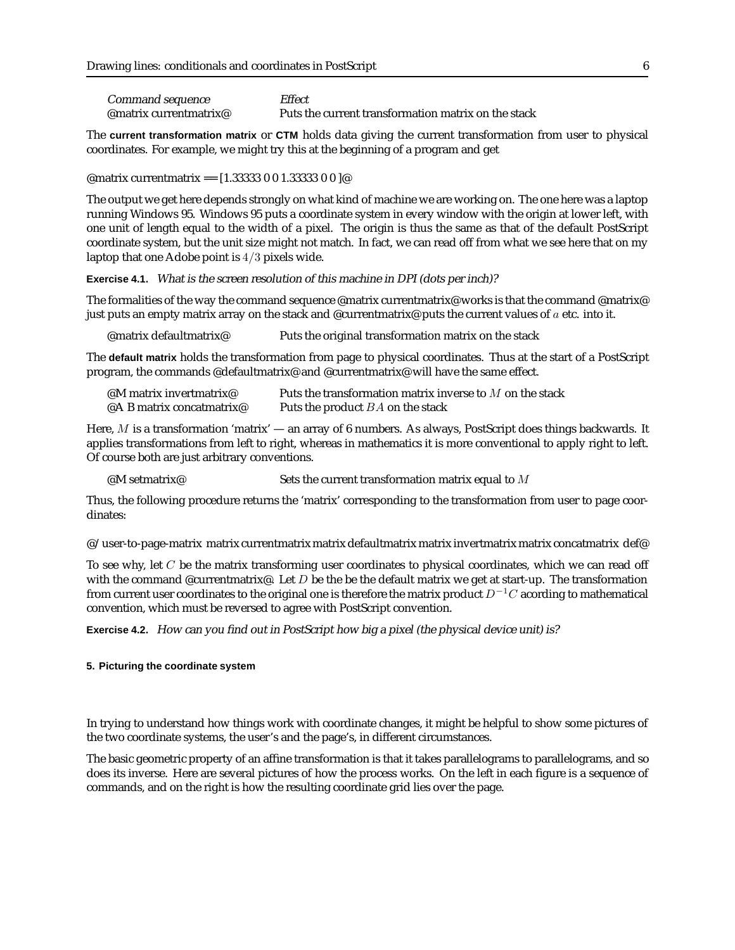| Command sequence       | Effect                                              |
|------------------------|-----------------------------------------------------|
| @matrix currentmatrix@ | Puts the current transformation matrix on the stack |

The **current transformation matrix** or **CTM** holds data giving the current transformation from user to physical coordinates. For example, we might try this at the beginning of a program and get

@matrix currentmatrix == [1.33333 0 0 1.33333 0 0 ]@

The output we get here depends strongly on what kind of machine we are working on. The one here was a laptop running Windows 95. Windows 95 puts a coordinate system in every window with the origin at lower left, with one unit of length equal to the width of a pixel. The origin is thus the same as that of the default PostScript coordinate system, but the unit size might not match. In fact, we can read off from what we see here that on my laptop that one Adobe point is 4/3 pixels wide.

**Exercise 4.1.** What is the screen resolution of this machine in DPI (dots per inch)?

The formalities of the way the command sequence @matrix currentmatrix@ works is that the command @matrix@ just puts an empty matrix array on the stack and @currentmatrix@ puts the current values of  $a$  etc. into it.

@matrix defaultmatrix@ Puts the original transformation matrix on the stack

The **default matrix** holds the transformation from page to physical coordinates. Thus at the start of a PostScript program, the commands @defaultmatrix@ and @currentmatrix@ will have the same effect.

| @M matrix invertmatrix@   | Puts the transformation matrix inverse to $M$ on the stack |
|---------------------------|------------------------------------------------------------|
| @A B matrix concatmatrix@ | Puts the product BA on the stack                           |

Here, M is a transformation 'matrix' — an array of 6 numbers. As always, PostScript does things backwards. It applies transformations from left to right, whereas in mathematics it is more conventional to apply right to left. Of course both are just arbitrary conventions.

@M setmatrix  $\oslash$  Sets the current transformation matrix equal to M

Thus, the following procedure returns the 'matrix' corresponding to the transformation from user to page coordinates:

@/user-to-page-matrix matrix currentmatrix matrix defaultmatrix matrix invertmatrix matrix concatmatrix def@

To see why, let  $C$  be the matrix transforming user coordinates to physical coordinates, which we can read off with the command @currentmatrix@. Let  $D$  be the be the default matrix we get at start-up. The transformation from current user coordinates to the original one is therefore the matrix product  $D^{-1}C$  acording to mathematical convention, which must be reversed to agree with PostScript convention.

**Exercise 4.2.** How can you find out in PostScript how big <sup>a</sup> pixel (the physical device unit) is?

# **5. Picturing the coordinate system**

In trying to understand how things work with coordinate changes, it might be helpful to show some pictures of the two coordinate systems, the user's and the page's, in different circumstances.

The basic geometric property of an affine transformation is that it takes parallelograms to parallelograms, and so does its inverse. Here are several pictures of how the process works. On the left in each figure is a sequence of commands, and on the right is how the resulting coordinate grid lies over the page.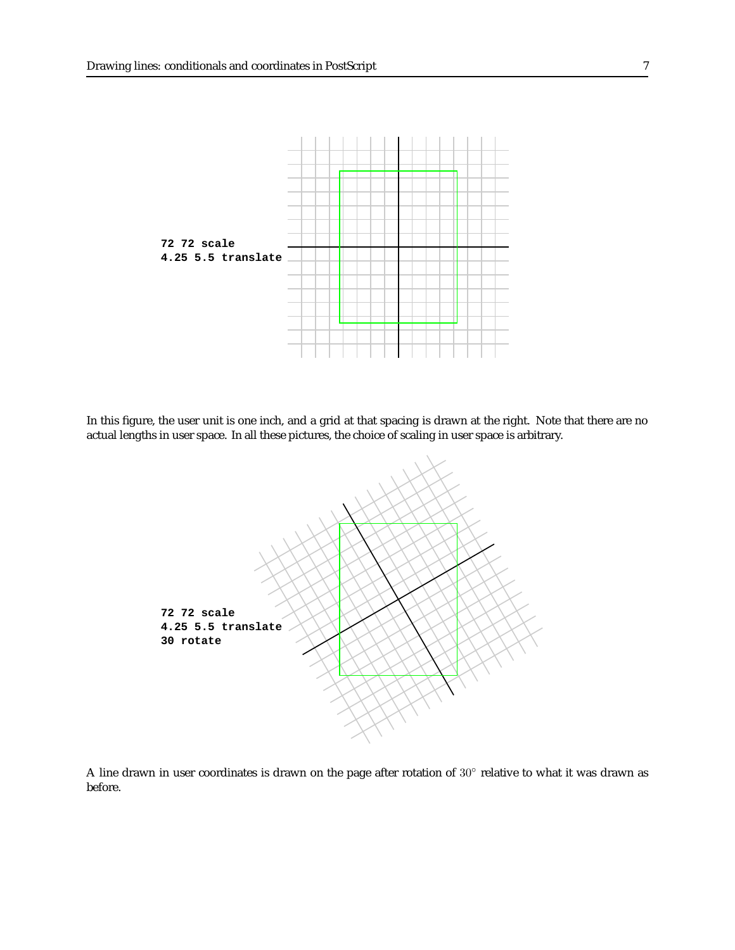

In this figure, the user unit is one inch, and a grid at that spacing is drawn at the right. Note that there are no actual lengths in user space. In all these pictures, the choice of scaling in user space is arbitrary.



A line drawn in user coordinates is drawn on the page after rotation of 30◦ relative to what it was drawn as before.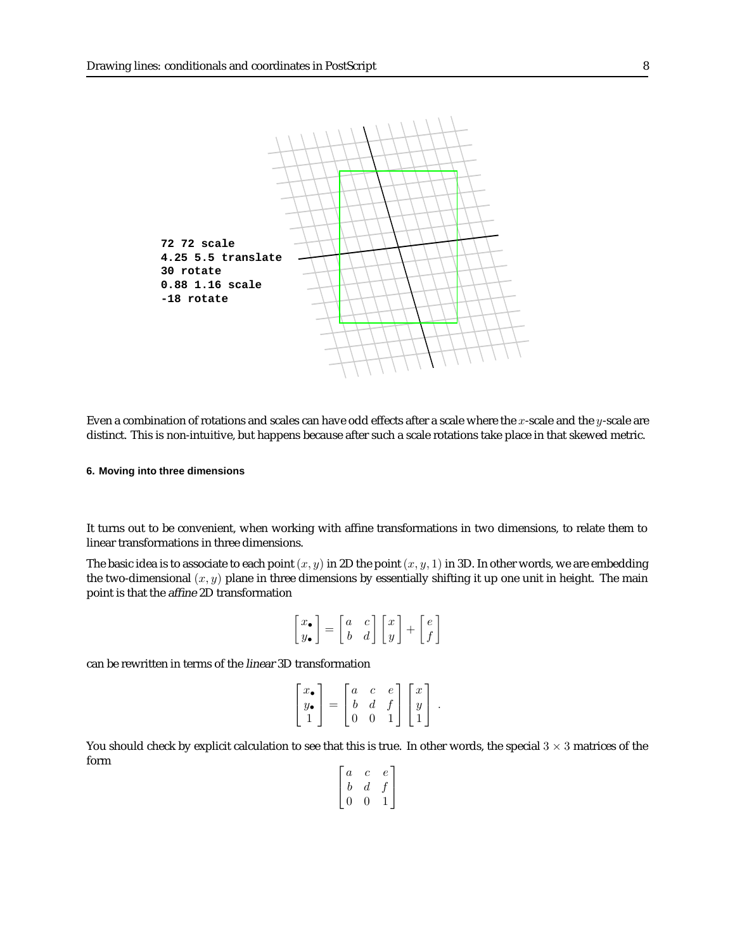

Even a combination of rotations and scales can have odd effects after a scale where the x-scale and the  $y$ -scale are distinct. This is non-intuitive, but happens because after such a scale rotations take place in that skewed metric.

#### **6. Moving into three dimensions**

It turns out to be convenient, when working with affine transformations in two dimensions, to relate them to linear transformations in three dimensions.

The basic idea is to associate to each point  $(x, y)$  in 2D the point  $(x, y, 1)$  in 3D. In other words, we are embedding the two-dimensional  $(x, y)$  plane in three dimensions by essentially shifting it up one unit in height. The main point is that the affine 2D transformation

$$
\begin{bmatrix} x_{\bullet} \\ y_{\bullet} \end{bmatrix} = \begin{bmatrix} a & c \\ b & d \end{bmatrix} \begin{bmatrix} x \\ y \end{bmatrix} + \begin{bmatrix} e \\ f \end{bmatrix}
$$

can be rewritten in terms of the linear 3D transformation

$$
\begin{bmatrix} x_{\bullet} \\ y_{\bullet} \\ 1 \end{bmatrix} = \begin{bmatrix} a & c & e \\ b & d & f \\ 0 & 0 & 1 \end{bmatrix} \begin{bmatrix} x \\ y \\ 1 \end{bmatrix}.
$$

You should check by explicit calculation to see that this is true. In other words, the special  $3 \times 3$  matrices of the form

$$
\begin{bmatrix} a & c & e \\ b & d & f \\ 0 & 0 & 1 \end{bmatrix}
$$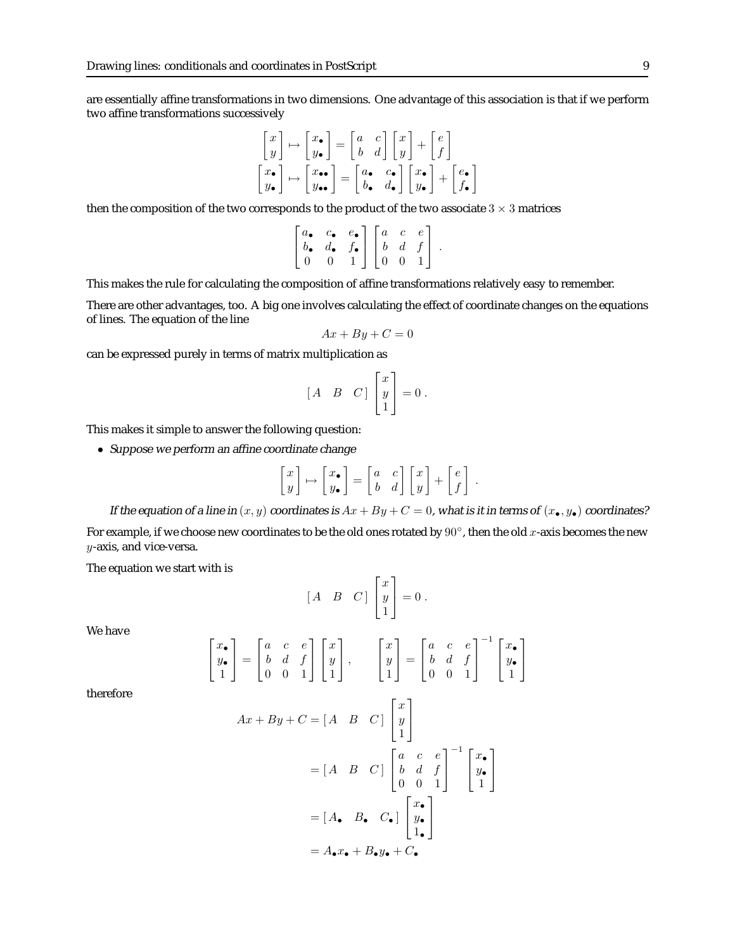are essentially affine transformations in two dimensions. One advantage of this association is that if we perform two affine transformations successively

$$
\begin{bmatrix} x \\ y \end{bmatrix} \mapsto \begin{bmatrix} x_{\bullet} \\ y_{\bullet} \end{bmatrix} = \begin{bmatrix} a & c \\ b & d \end{bmatrix} \begin{bmatrix} x \\ y \end{bmatrix} + \begin{bmatrix} e \\ f \end{bmatrix}
$$

$$
\begin{bmatrix} x_{\bullet} \\ y_{\bullet} \end{bmatrix} \mapsto \begin{bmatrix} x_{\bullet\bullet} \\ y_{\bullet\bullet} \end{bmatrix} = \begin{bmatrix} a_{\bullet} & c_{\bullet} \\ b_{\bullet} & d_{\bullet} \end{bmatrix} \begin{bmatrix} x_{\bullet} \\ y_{\bullet} \end{bmatrix} + \begin{bmatrix} e_{\bullet} \\ f_{\bullet} \end{bmatrix}
$$

then the composition of the two corresponds to the product of the two associate  $3 \times 3$  matrices

$$
\begin{bmatrix} a_{\bullet} & c_{\bullet} & e_{\bullet} \\ b_{\bullet} & d_{\bullet} & f_{\bullet} \\ 0 & 0 & 1 \end{bmatrix} \begin{bmatrix} a & c & e \\ b & d & f \\ 0 & 0 & 1 \end{bmatrix}.
$$

This makes the rule for calculating the composition of affine transformations relatively easy to remember.

There are other advantages, too. A big one involves calculating the effect of coordinate changes on the equations of lines. The equation of the line

$$
Ax + By + C = 0
$$

can be expressed purely in terms of matrix multiplication as

$$
\begin{bmatrix} A & B & C \end{bmatrix} \begin{bmatrix} x \\ y \\ 1 \end{bmatrix} = 0 \ .
$$

This makes it simple to answer the following question:

• Suppose we perform an affine coordinate change

$$
\begin{bmatrix} x \\ y \end{bmatrix} \mapsto \begin{bmatrix} x_{\bullet} \\ y_{\bullet} \end{bmatrix} = \begin{bmatrix} a & c \\ b & d \end{bmatrix} \begin{bmatrix} x \\ y \end{bmatrix} + \begin{bmatrix} e \\ f \end{bmatrix}
$$

.

If the equation of a line in  $(x, y)$  coordinates is  $Ax + By + C = 0$ , what is it in terms of  $(x_{\bullet}, y_{\bullet})$  coordinates? For example, if we choose new coordinates to be the old ones rotated by  $90^{\circ}$ , then the old x-axis becomes the new y-axis, and vice-versa.

The equation we start with is

$$
\begin{bmatrix} A & B & C \end{bmatrix} \begin{bmatrix} x \\ y \\ 1 \end{bmatrix} = 0 \ .
$$

We have

$$
\begin{bmatrix} x_{\bullet} \\ y_{\bullet} \\ 1 \end{bmatrix} = \begin{bmatrix} a & c & e \\ b & d & f \\ 0 & 0 & 1 \end{bmatrix} \begin{bmatrix} x \\ y \\ 1 \end{bmatrix}, \qquad \begin{bmatrix} x \\ y \\ 1 \end{bmatrix} = \begin{bmatrix} a & c & e \\ b & d & f \\ 0 & 0 & 1 \end{bmatrix}^{-1} \begin{bmatrix} x_{\bullet} \\ y_{\bullet} \\ 1 \end{bmatrix}
$$

therefore

$$
Ax + By + C = [A \quad B \quad C] \begin{bmatrix} x \\ y \\ 1 \end{bmatrix}
$$
  
=  $[A \quad B \quad C] \begin{bmatrix} a & c & e \\ b & d & f \\ 0 & 0 & 1 \end{bmatrix}^{-1} \begin{bmatrix} x_c \\ y_c \\ 1 \end{bmatrix}$   
=  $[A \bullet \quad B \bullet \quad C \bullet] \begin{bmatrix} x_c \\ y_c \\ 1 \bullet \end{bmatrix}$   
=  $A \bullet x \bullet + B \bullet y \bullet + C \bullet$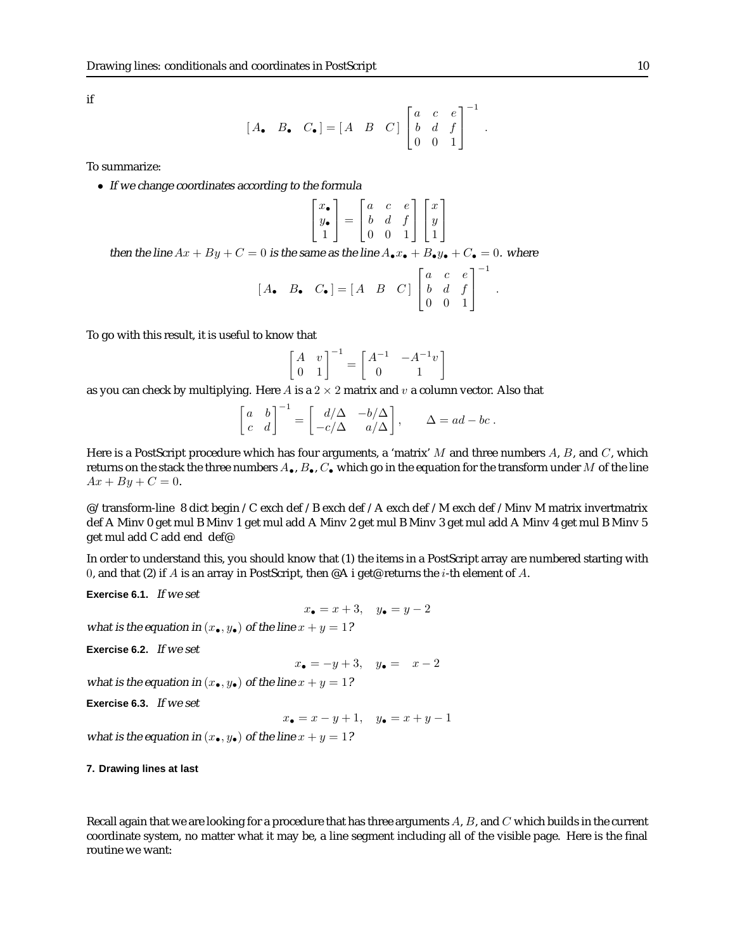if

$$
[A_{\bullet} \quad B_{\bullet} \quad C_{\bullet}] = [A \quad B \quad C] \begin{bmatrix} a & c & e \\ b & d & f \\ 0 & 0 & 1 \end{bmatrix}^{-1}.
$$

To summarize:

• If we change coordinates according to the formula

$$
\left[\begin{matrix} x_\bullet \\ y_\bullet \\ 1 \end{matrix}\right] = \left[\begin{matrix} a & c & e \\ b & d & f \\ 0 & 0 & 1 \end{matrix}\right] \left[\begin{matrix} x \\ y \\ 1 \end{matrix}\right]
$$

1  $\mathbf{I}$ 

.

then the line  $Ax + By + C = 0$  is the same as the line  $A_{\bullet}x_{\bullet} + B_{\bullet}y_{\bullet} + C_{\bullet} = 0$ . where

$$
\begin{bmatrix} A_{\bullet} & B_{\bullet} & C_{\bullet} \end{bmatrix} = \begin{bmatrix} A & B & C \end{bmatrix} \begin{bmatrix} a & c & e \\ b & d & f \\ 0 & 0 & 1 \end{bmatrix}^{-1}
$$

To go with this result, it is useful to know that

$$
\begin{bmatrix} A & v \\ 0 & 1 \end{bmatrix}^{-1} = \begin{bmatrix} A^{-1} & -A^{-1}v \\ 0 & 1 \end{bmatrix}
$$

as you can check by multiplying. Here A is a  $2 \times 2$  matrix and v a column vector. Also that

$$
\begin{bmatrix} a & b \\ c & d \end{bmatrix}^{-1} = \begin{bmatrix} d/\Delta & -b/\Delta \\ -c/\Delta & a/\Delta \end{bmatrix}, \qquad \Delta = ad - bc.
$$

Here is a PostScript procedure which has four arguments, a 'matrix'  $M$  and three numbers  $A$ ,  $B$ , and  $C$ , which returns on the stack the three numbers  $A_{\bullet}$ ,  $B_{\bullet}$ ,  $C_{\bullet}$  which go in the equation for the transform under M of the line  $Ax + By + C = 0.$ 

@/transform-line 8 dict begin /C exch def /B exch def /A exch def /M exch def /Minv M matrix invertmatrix def A Minv 0 get mul B Minv 1 get mul add A Minv 2 get mul B Minv 3 get mul add A Minv 4 get mul B Minv 5 get mul add C add end def@

In order to understand this, you should know that (1) the items in a PostScript array are numbered starting with 0, and that (2) if A is an array in PostScript, then  $\mathscr{A}$  i get erturns the *i*-th element of A.

**Exercise 6.1.** If we set

$$
x_{\bullet} = x + 3, \quad y_{\bullet} = y - 2
$$

what is the equation in  $(x_{\bullet}, y_{\bullet})$  of the line  $x + y = 1$ ?

**Exercise 6.2.** If we set

```
x_{\bullet} = -y + 3, \quad y_{\bullet} = x - 2
```
what is the equation in  $(x_{\bullet}, y_{\bullet})$  of the line  $x + y = 1$ ?

**Exercise 6.3.** If we set

 $x_{\bullet} = x - y + 1, \quad y_{\bullet} = x + y - 1$ 

what is the equation in  $(x_\bullet,y_\bullet)$  of the line  $x+y=1?$ 

#### **7. Drawing lines at last**

Recall again that we are looking for a procedure that has three arguments  $A, B$ , and  $C$  which builds in the current coordinate system, no matter what it may be, a line segment including all of the visible page. Here is the final routine we want: